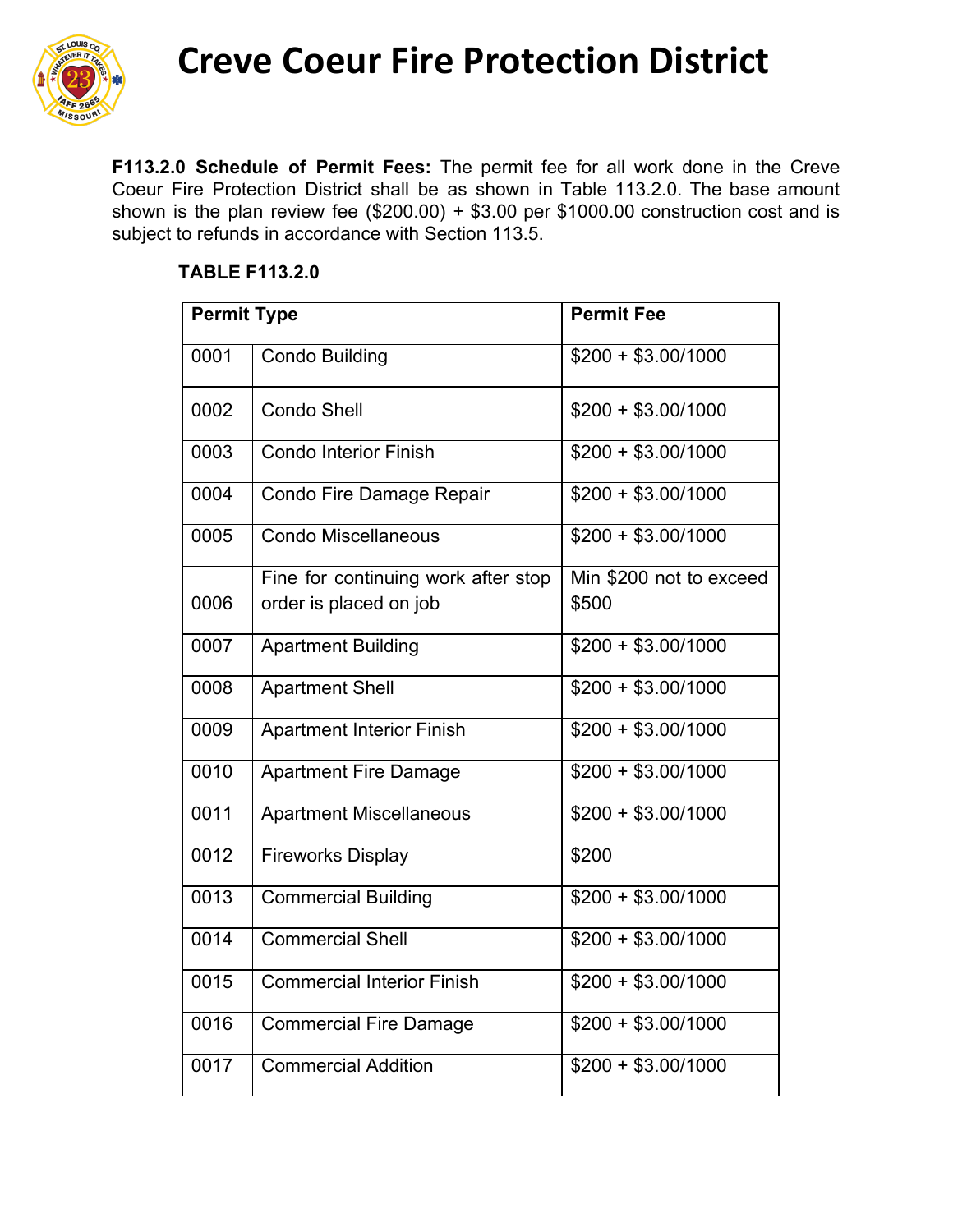

**Creve Coeur Fire Protection District**

**F113.2.0 Schedule of Permit Fees:** The permit fee for all work done in the Creve Coeur Fire Protection District shall be as shown in Table 113.2.0. The base amount shown is the plan review fee (\$200.00) + \$3.00 per \$1000.00 construction cost and is subject to refunds in accordance with Section 113.5.

## **TABLE F113.2.0**

| <b>Permit Type</b> |                                     | <b>Permit Fee</b>       |
|--------------------|-------------------------------------|-------------------------|
| 0001               | <b>Condo Building</b>               | $$200 + $3.00/1000$     |
| 0002               | <b>Condo Shell</b>                  | $$200 + $3.00/1000$     |
| 0003               | <b>Condo Interior Finish</b>        | $$200 + $3.00/1000$     |
| 0004               | Condo Fire Damage Repair            | $$200 + $3.00/1000$     |
| 0005               | <b>Condo Miscellaneous</b>          | $$200 + $3.00/1000$     |
|                    | Fine for continuing work after stop | Min \$200 not to exceed |
| 0006               | order is placed on job              | \$500                   |
| 0007               | <b>Apartment Building</b>           | $$200 + $3.00/1000$     |
| 0008               | <b>Apartment Shell</b>              | $$200 + $3.00/1000$     |
| 0009               | <b>Apartment Interior Finish</b>    | $$200 + $3.00/1000$     |
| 0010               | <b>Apartment Fire Damage</b>        | $$200 + $3.00/1000$     |
| 0011               | <b>Apartment Miscellaneous</b>      | $$200 + $3.00/1000$     |
| 0012               | <b>Fireworks Display</b>            | \$200                   |
| 0013               | <b>Commercial Building</b>          | $$200 + $3.00/1000$     |
| 0014               | <b>Commercial Shell</b>             | $$200 + $3.00/1000$     |
| 0015               | <b>Commercial Interior Finish</b>   | $$200 + $3.00/1000$     |
| 0016               | <b>Commercial Fire Damage</b>       | $$200 + $3.00/1000$     |
| 0017               | <b>Commercial Addition</b>          | $$200 + $3.00/1000$     |